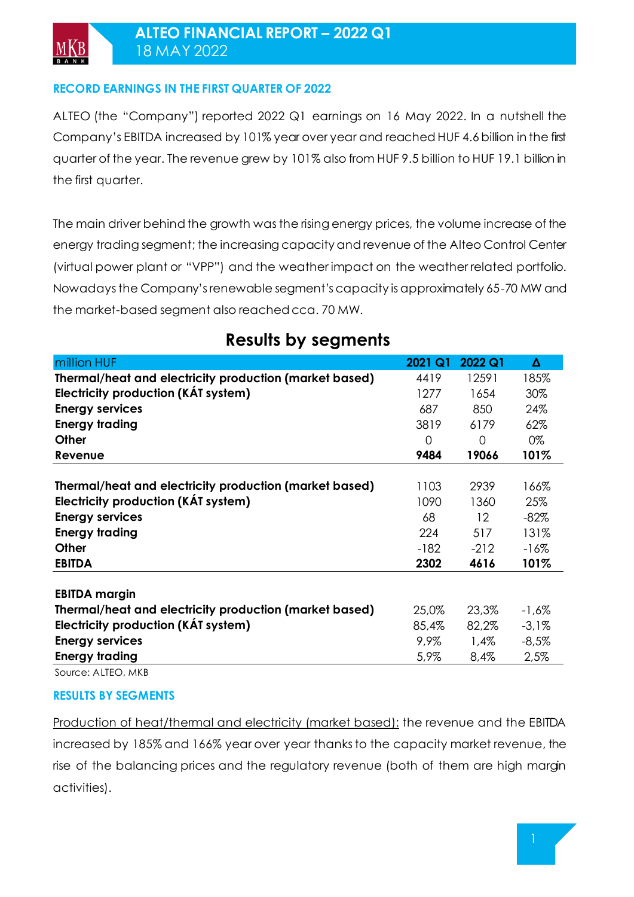### **RECORD EARNINGS IN THE FIRST QUARTER OF 2022**

ALTEO (the "Company") reported 2022 Q1 earnings on 16 May 2022. In a nutshell the Company's EBITDA increased by 101% year over year and reached HUF 4.6billion in the first quarter of the year. The revenue grew by 101% also from HUF 9.5 billion to HUF 19.1 billion in the first quarter.

The main driver behind the growth was the rising energy prices, the volume increase of the energy trading segment; the increasing capacity and revenue of the Alteo Control Center (virtual power plant or "VPP") and the weather impact on the weather related portfolio. Nowadays the Company's renewable segment's capacity is approximately 65-70 MW and the market-based segment also reached cca. 70 MW.

| million HUF                                            | 2021 Q1        | 2022 Q1 | Δ        |
|--------------------------------------------------------|----------------|---------|----------|
| Thermal/heat and electricity production (market based) | 4419           | 12591   | 185%     |
| Electricity production (KAT system)                    | 1277           | 1654    | 30%      |
| <b>Energy services</b>                                 | 687            | 850     | 24%      |
| <b>Energy trading</b>                                  | 3819           | 6179    | 62%      |
| <b>Other</b>                                           | $\overline{0}$ | 0       | 0%       |
| Revenue                                                | 9484           | 19066   | 101%     |
|                                                        |                |         |          |
| Thermal/heat and electricity production (market based) | 1103           | 2939    | 166%     |
| Electricity production (KAT system)                    | 1090           | 1360    | 25%      |
| <b>Energy services</b>                                 | 68             | 12      | $-82%$   |
| <b>Energy trading</b>                                  | 224            | 517     | 131%     |
| Other                                                  | $-182$         | $-212$  | $-16%$   |
| <b>EBITDA</b>                                          | 2302           | 4616    | 101%     |
|                                                        |                |         |          |
| <b>EBITDA margin</b>                                   |                |         |          |
| Thermal/heat and electricity production (market based) | 25,0%          | 23,3%   | $-1,6\%$ |
| Electricity production (KAT system)                    | 85,4%          | 82,2%   | $-3,1%$  |
| <b>Energy services</b>                                 | 9,9%           | 1,4%    | $-8,5%$  |
| <b>Energy trading</b>                                  | 5,9%           | 8,4%    | 2,5%     |

## **Results by segments**

Source: ALTEO, MKB

### **RESULTS BY SEGMENTS**

Production of heat/thermal and electricity (market based): the revenue and the EBITDA increased by 185% and 166% year over year thanks to the capacity market revenue, the rise of the balancing prices and the regulatory revenue (both of them are high margin activities).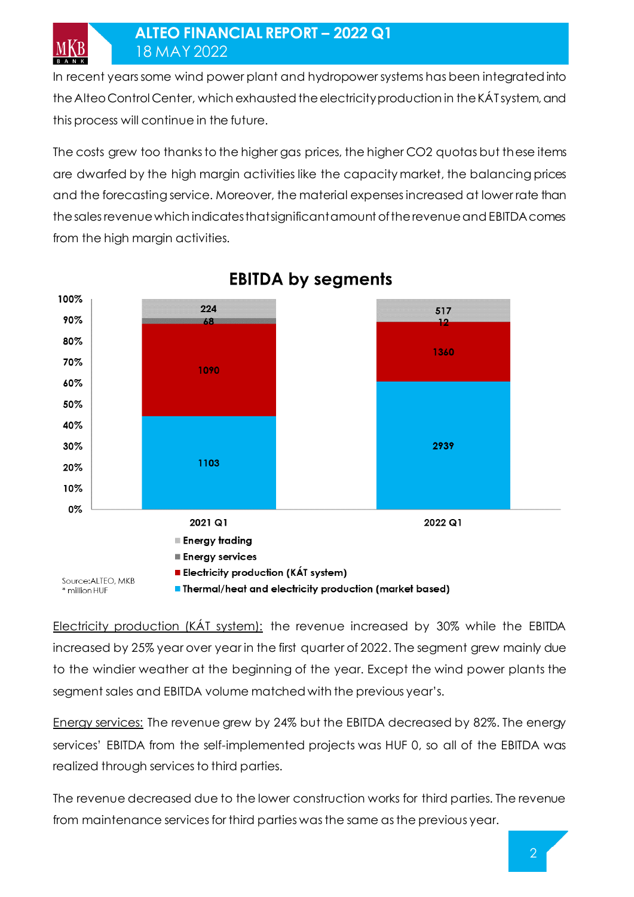MKB

In recent years some wind power plant and hydropower systems has been integrated into the Alteo Control Center, which exhausted the electricity production in the KÁT system, and this process will continue in the future.

The costs grew too thanks to the higher gas prices, the higher CO2 quotas but these items are dwarfed by the high margin activities like the capacity market, the balancing prices and the forecasting service. Moreover, the material expenses increased at lower rate than the sales revenue which indicates that significant amount of the revenue and EBITDA comes from the high margin activities.



# **EBITDA by segments**

Electricity production (KÁT system): the revenue increased by 30% while the EBITDA increased by 25% year over year in the first quarter of 2022. The segment grew mainly due to the windier weather at the beginning of the year. Except the wind power plants the segment sales and EBITDA volume matched with the previous year's.

Energy services: The revenue grew by 24% but the EBITDA decreased by 82%. The energy services' EBITDA from the self-implemented projects was HUF 0, so all of the EBITDA was realized through services to third parties.

The revenue decreased due to the lower construction works for third parties. The revenue from maintenance services for third parties was the same as the previous year.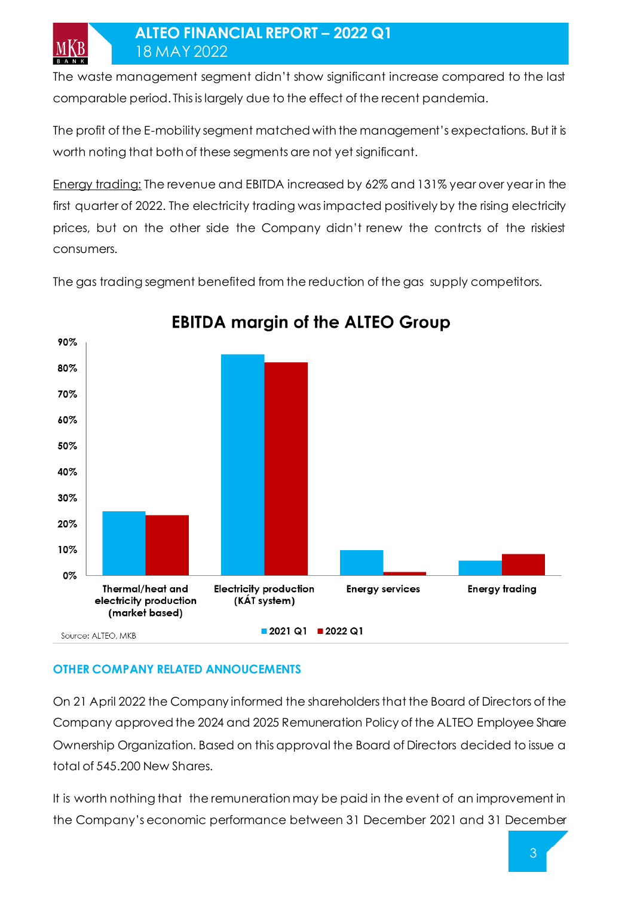The waste management segment didn't show significant increase compared to the last comparable period. This is largely due to the effect of the recent pandemia.

The profit of the E-mobility segment matched with the management's expectations. But it is worth noting that both of these segments are not yet significant.

Energy trading: The revenue and EBITDA increased by 62% and 131% year over year in the first quarter of 2022. The electricity trading was impacted positively by the rising electricity prices, but on the other side the Company didn't renew the contrcts of the riskiest consumers.

The gas trading segment benefited from the reduction of the gas supply competitors.



# **EBITDA margin of the ALTEO Group**

## **OTHER COMPANY RELATED ANNOUCEMENTS**

On 21 April 2022 the Company informed the shareholders that the Board of Directors of the Company approved the 2024 and 2025 Remuneration Policy of the ALTEO Employee Share Ownership Organization. Based on this approval the Board of Directors decided to issue a total of 545.200 New Shares.

It is worth nothing that the remuneration may be paid in the event of an improvement in the Company's economic performance between 31 December 2021 and 31 December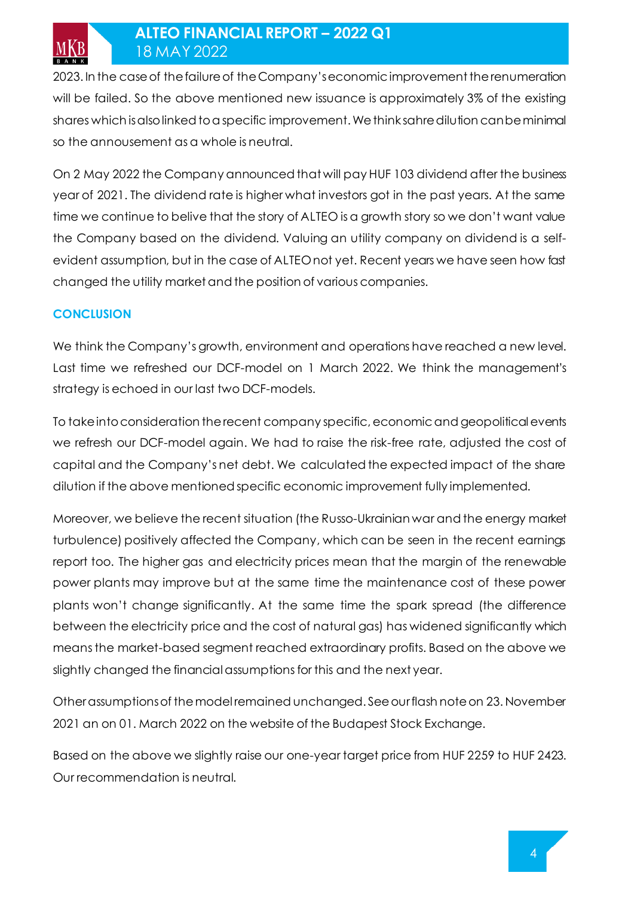2023. In the case of the failure of the Company's economic improvement the renumeration will be failed. So the above mentioned new issuance is approximately 3% of the existing shares which is also linked to a specific improvement. We think sahre dilution can be minimal so the annousement as a whole is neutral.

On 2 May 2022 the Company announced that will pay HUF 103 dividend after the business year of 2021. The dividend rate is higher what investors got in the past years. At the same time we continue to belive that the story of ALTEO is a growth story so we don't want value the Company based on the dividend. Valuing an utility company on dividend is a selfevident assumption, but in the case of ALTEO not yet. Recent years we have seen how fast changed the utility market and the position of various companies.

### **CONCLUSION**

**MKB** 

We think the Company's growth, environment and operations have reached a new level. Last time we refreshed our DCF-model on 1 March 2022. We think the management's strategy is echoed in our last two DCF-models.

To take into consideration the recent company specific, economic and geopolitical events we refresh our DCF-model again. We had to raise the risk-free rate, adjusted the cost of capital and the Company's net debt. We calculated the expected impact of the share dilution if the above mentioned specific economic improvement fully implemented.

Moreover, we believe the recent situation (the Russo-Ukrainian war and the energy market turbulence) positively affected the Company, which can be seen in the recent earnings report too. The higher gas and electricity prices mean that the margin of the renewable power plants may improve but at the same time the maintenance cost of these power plants won't change significantly. At the same time the spark spread (the difference between the electricity price and the cost of natural gas) has widened significantly which means the market-based segment reached extraordinary profits. Based on the above we slightly changed the financial assumptions for this and the next year.

Other assumptions of the model remained unchanged. See our flash note on 23. November 2021 an on 01. March 2022 on the website of the Budapest Stock Exchange.

Based on the above we slightly raise our one-year target price from HUF 2259 to HUF 2423. Our recommendation is neutral.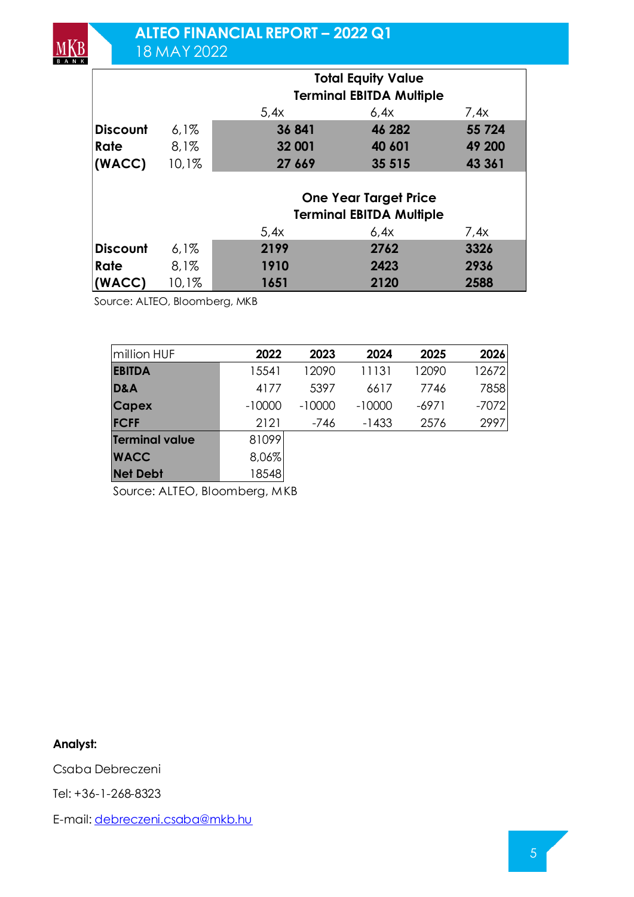|                 |       | <b>Total Equity Value</b>       |                                 |        |  |  |  |
|-----------------|-------|---------------------------------|---------------------------------|--------|--|--|--|
|                 |       | <b>Terminal EBITDA Multiple</b> |                                 |        |  |  |  |
|                 |       | 5.4x                            | 6.4x                            | 7.4x   |  |  |  |
| <b>Discount</b> | 6.1%  | 36 841                          | 46 282                          | 55 724 |  |  |  |
| Rate            | 8.1%  | 32 001                          | 40 601                          | 49 200 |  |  |  |
| (WACC)          | 10,1% | 27 669                          | 35 515                          | 43 361 |  |  |  |
|                 |       |                                 |                                 |        |  |  |  |
|                 |       | <b>One Year Target Price</b>    |                                 |        |  |  |  |
|                 |       |                                 | <b>Terminal EBITDA Multiple</b> |        |  |  |  |
|                 |       | 5,4x                            | 6,4x                            | 7,4x   |  |  |  |
| <b>Discount</b> | 6,1%  | 2199                            | 2762                            | 3326   |  |  |  |
| Rate            | 8,1%  | 1910                            | 2423                            | 2936   |  |  |  |
| (WACC)          | 10,1% | 1651                            | 2120                            | 2588   |  |  |  |

Source: ALTEO, Bloomberg, MKB

| million HUF           | 2022     | 2023     | 2024     | 2025    | 2026    |
|-----------------------|----------|----------|----------|---------|---------|
| <b>EBITDA</b>         | 15541    | 12090    | 11131    | 12090   | 12672   |
| D&A                   | 4177     | 5397     | 6617     | 7746    | 7858    |
| <b>Capex</b>          | $-10000$ | $-10000$ | $-10000$ | $-6971$ | $-7072$ |
| <b>FCFF</b>           | 2121     | $-746$   | $-1433$  | 2576    | 2997    |
| <b>Terminal value</b> | 81099    |          |          |         |         |
| <b>WACC</b>           | 8,06%    |          |          |         |         |
| <b>Net Debt</b>       | 18548    |          |          |         |         |

Source: ALTEO, Bloomberg, MKB

**Analyst:**

 $MKB$ 

Csaba Debreczeni

Tel: +36-1-268-8323

E-mail[: debreczeni.csaba@mkb.hu](mailto:debreczeni.csaba@mkb.hu)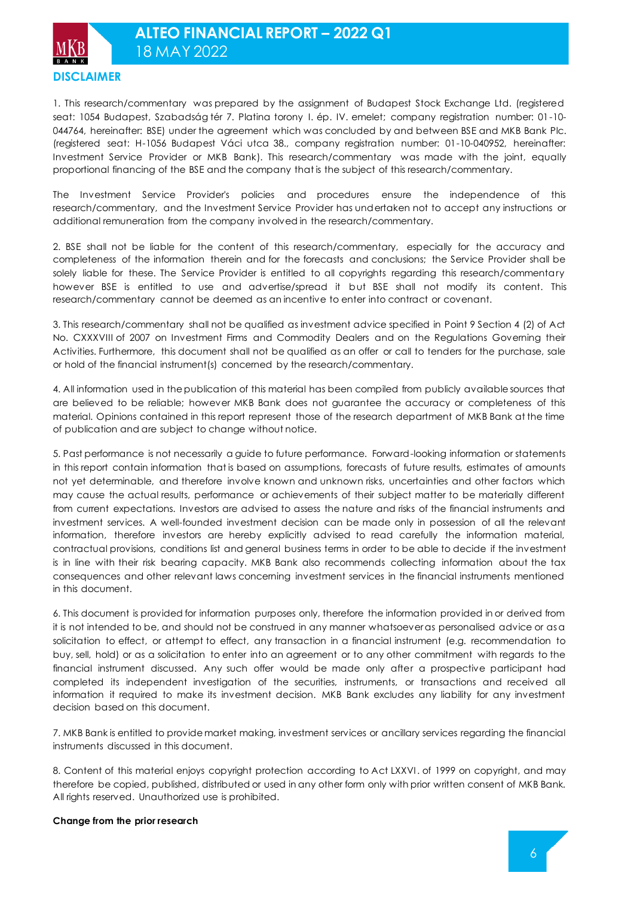

1. This research/commentary was prepared by the assignment of Budapest Stock Exchange Ltd. (registered seat: 1054 Budapest, Szabadság tér 7. Platina torony I. ép. IV. emelet; company registration number: 01-10- 044764, hereinafter: BSE) under the agreement which was concluded by and between BSE and MKB Bank Plc. (registered seat: H-1056 Budapest Váci utca 38., company registration number: 01-10-040952, hereinafter: Investment Service Provider or MKB Bank). This research/commentary was made with the joint, equally proportional financing of the BSE and the company that is the subject of this research/commentary.

The Investment Service Provider's policies and procedures ensure the independence of this research/commentary, and the Investment Service Provider has undertaken not to accept any instructions or additional remuneration from the company involved in the research/commentary.

2. BSE shall not be liable for the content of this research/commentary, especially for the accuracy and completeness of the information therein and for the forecasts and conclusions; the Service Provider shall be solely liable for these. The Service Provider is entitled to all copyrights regarding this research/commentary however BSE is entitled to use and advertise/spread it but BSE shall not modify its content. This research/commentary cannot be deemed as an incentive to enter into contract or covenant.

3. This research/commentary shall not be qualified as investment advice specified in Point 9 Section 4 (2) of Act No. CXXXVIII of 2007 on Investment Firms and Commodity Dealers and on the Regulations Governing their Activities. Furthermore, this document shall not be qualified as an offer or call to tenders for the purchase, sale or hold of the financial instrument(s) concerned by the research/commentary.

4. All information used in the publication of this material has been compiled from publicly available sources that are believed to be reliable; however MKB Bank does not guarantee the accuracy or completeness of this material. Opinions contained in this report represent those of the research department of MKB Bank at the time of publication and are subject to change without notice.

5. Past performance is not necessarily a guide to future performance. Forward-looking information or statements in this report contain information that is based on assumptions, forecasts of future results, estimates of amounts not yet determinable, and therefore involve known and unknown risks, uncertainties and other factors which may cause the actual results, performance or achievements of their subject matter to be materially different from current expectations. Investors are advised to assess the nature and risks of the financial instruments and investment services. A well-founded investment decision can be made only in possession of all the relevant information, therefore investors are hereby explicitly advised to read carefully the information material, contractual provisions, conditions list and general business terms in order to be able to decide if the investment is in line with their risk bearing capacity. MKB Bank also recommends collecting information about the tax consequences and other relevant laws concerning investment services in the financial instruments mentioned in this document.

6. This document is provided for information purposes only, therefore the information provided in or derived from it is not intended to be, and should not be construed in any manner whatsoever as personalised advice or as a solicitation to effect, or attempt to effect, any transaction in a financial instrument (e.g. recommendation to buy, sell, hold) or as a solicitation to enter into an agreement or to any other commitment with regards to the financial instrument discussed. Any such offer would be made only after a prospective participant had completed its independent investigation of the securities, instruments, or transactions and received all information it required to make its investment decision. MKB Bank excludes any liability for any investment decision based on this document.

7. MKB Bank is entitled to provide market making, investment services or ancillary services regarding the financial instruments discussed in this document.

8. Content of this material enjoys copyright protection according to Act LXXVI. of 1999 on copyright, and may therefore be copied, published, distributed or used in any other form only with prior written consent of MKB Bank. All rights reserved. Unauthorized use is prohibited.

#### **Change from the prior research**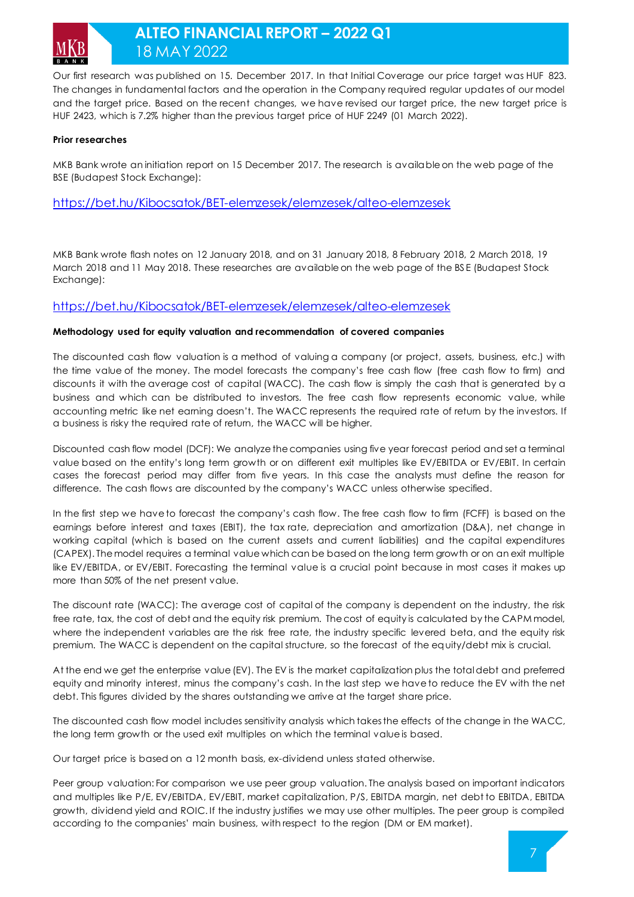

## **ALTEO FINANCIAL REPORT – 2022 Q1** 18 MAY 2022

Our first research was published on 15. December 2017. In that Initial Coverage our price target was HUF 823. The changes in fundamental factors and the operation in the Company required regular updates of our model and the target price. Based on the recent changes, we have revised our target price, the new target price is HUF 2423, which is 7.2% higher than the previous target price of HUF 2249 (01 March 2022).

#### **Prior researches**

MKB Bank wrote an initiation report on 15 December 2017. The research is available on the web page of the BSE (Budapest Stock Exchange):

<https://bet.hu/Kibocsatok/BET-elemzesek/elemzesek/alteo-elemzesek>

MKB Bank wrote flash notes on 12 January 2018, and on 31 January 2018, 8 February 2018, 2 March 2018, 19 March 2018 and 11 May 2018. These researches are available on the web page of the BS E (Budapest Stock Exchange):

#### <https://bet.hu/Kibocsatok/BET-elemzesek/elemzesek/alteo-elemzesek>

#### **Methodology used for equity valuation and recommendation of covered companies**

The discounted cash flow valuation is a method of valuing a company (or project, assets, business, etc.) with the time value of the money. The model forecasts the company's free cash flow (free cash flow to firm) and discounts it with the average cost of capital (WACC). The cash flow is simply the cash that is generated by a business and which can be distributed to investors. The free cash flow represents economic value, while accounting metric like net earning doesn't. The WACC represents the required rate of return by the investors. If a business is risky the required rate of return, the WACC will be higher.

Discounted cash flow model (DCF): We analyze the companies using five year forecast period and set a terminal value based on the entity's long term growth or on different exit multiples like EV/EBITDA or EV/EBIT. In certain cases the forecast period may differ from five years. In this case the analysts must define the reason for difference. The cash flows are discounted by the company's WACC unless otherwise specified.

In the first step we have to forecast the company's cash flow. The free cash flow to firm (FCFF) is based on the earnings before interest and taxes (EBIT), the tax rate, depreciation and amortization (D&A), net change in working capital (which is based on the current assets and current liabilities) and the capital expenditures (CAPEX). The model requires a terminal value which can be based on the long term growth or on an exit multiple like EV/EBITDA, or EV/EBIT. Forecasting the terminal value is a crucial point because in most cases it makes up more than 50% of the net present value.

The discount rate (WACC): The average cost of capital of the company is dependent on the industry, the risk free rate, tax, the cost of debt and the equity risk premium. The cost of equity is calculated by the CAPM model, where the independent variables are the risk free rate, the industry specific levered beta, and the equity risk premium. The WACC is dependent on the capital structure, so the forecast of the equity/debt mix is crucial.

At the end we get the enterprise value (EV). The EV is the market capitalization plus the total debt and preferred equity and minority interest, minus the company's cash. In the last step we have to reduce the EV with the net debt. This figures divided by the shares outstanding we arrive at the target share price.

The discounted cash flow model includes sensitivity analysis which takes the effects of the change in the WACC, the long term growth or the used exit multiples on which the terminal value is based.

Our target price is based on a 12 month basis, ex-dividend unless stated otherwise.

Peer group valuation: For comparison we use peer group valuation. The analysis based on important indicators and multiples like P/E, EV/EBITDA, EV/EBIT, market capitalization, P/S, EBITDA margin, net debt to EBITDA, EBITDA growth, dividend yield and ROIC. If the industry justifies we may use other multiples. The peer group is compiled according to the companies' main business, with respect to the region (DM or EM market).